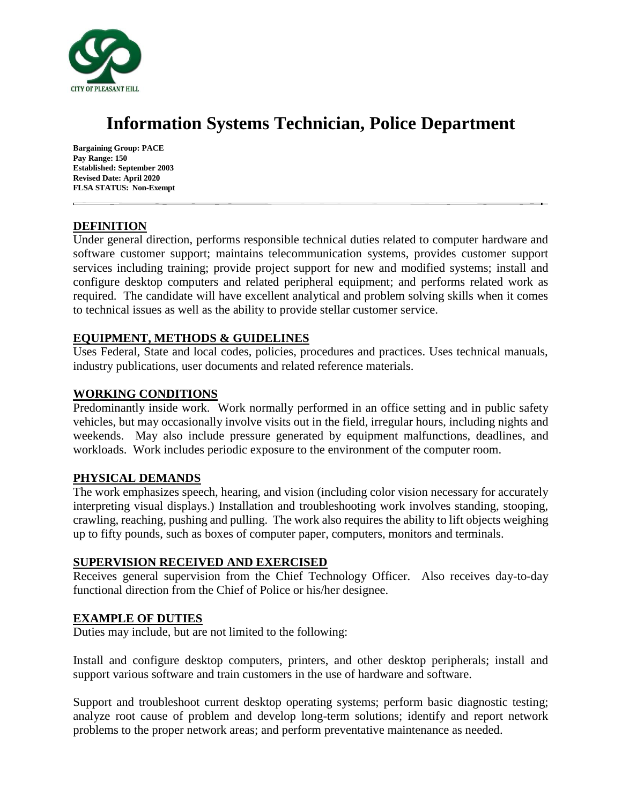

# **Information Systems Technician, Police Department**

**Bargaining Group: PACE Pay Range: 150 Established: September 2003 Revised Date: April 2020 FLSA STATUS: Non-Exempt**

# **DEFINITION**

Under general direction, performs responsible technical duties related to computer hardware and software customer support; maintains telecommunication systems, provides customer support services including training; provide project support for new and modified systems; install and configure desktop computers and related peripheral equipment; and performs related work as required. The candidate will have excellent analytical and problem solving skills when it comes to technical issues as well as the ability to provide stellar customer service.

# **EQUIPMENT, METHODS & GUIDELINES**

Uses Federal, State and local codes, policies, procedures and practices. Uses technical manuals, industry publications, user documents and related reference materials.

# **WORKING CONDITIONS**

Predominantly inside work. Work normally performed in an office setting and in public safety vehicles, but may occasionally involve visits out in the field, irregular hours, including nights and weekends. May also include pressure generated by equipment malfunctions, deadlines, and workloads. Work includes periodic exposure to the environment of the computer room.

## **PHYSICAL DEMANDS**

The work emphasizes speech, hearing, and vision (including color vision necessary for accurately interpreting visual displays.) Installation and troubleshooting work involves standing, stooping, crawling, reaching, pushing and pulling. The work also requires the ability to lift objects weighing up to fifty pounds, such as boxes of computer paper, computers, monitors and terminals.

## **SUPERVISION RECEIVED AND EXERCISED**

Receives general supervision from the Chief Technology Officer. Also receives day-to-day functional direction from the Chief of Police or his/her designee.

## **EXAMPLE OF DUTIES**

Duties may include, but are not limited to the following:

Install and configure desktop computers, printers, and other desktop peripherals; install and support various software and train customers in the use of hardware and software.

Support and troubleshoot current desktop operating systems; perform basic diagnostic testing; analyze root cause of problem and develop long-term solutions; identify and report network problems to the proper network areas; and perform preventative maintenance as needed.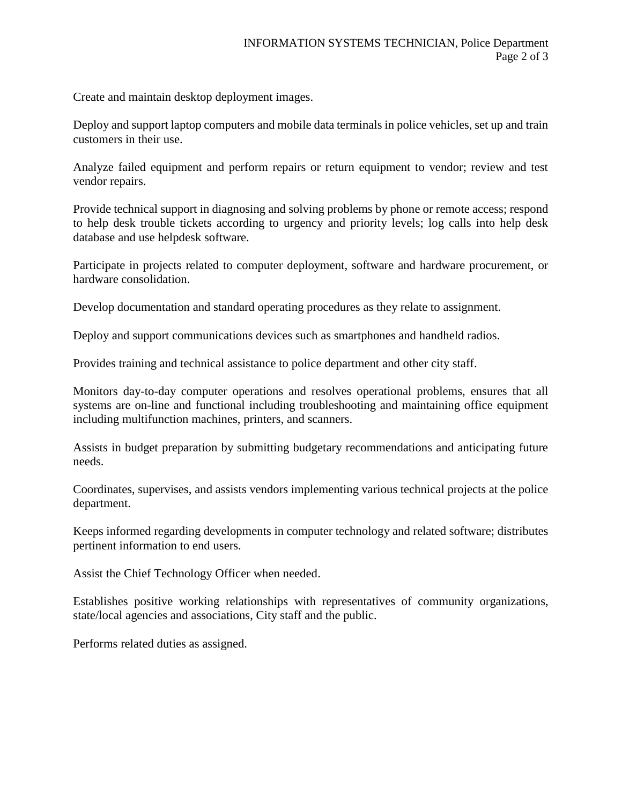Create and maintain desktop deployment images.

Deploy and support laptop computers and mobile data terminals in police vehicles, set up and train customers in their use.

Analyze failed equipment and perform repairs or return equipment to vendor; review and test vendor repairs.

Provide technical support in diagnosing and solving problems by phone or remote access; respond to help desk trouble tickets according to urgency and priority levels; log calls into help desk database and use helpdesk software.

Participate in projects related to computer deployment, software and hardware procurement, or hardware consolidation.

Develop documentation and standard operating procedures as they relate to assignment.

Deploy and support communications devices such as smartphones and handheld radios.

Provides training and technical assistance to police department and other city staff.

Monitors day-to-day computer operations and resolves operational problems, ensures that all systems are on-line and functional including troubleshooting and maintaining office equipment including multifunction machines, printers, and scanners.

Assists in budget preparation by submitting budgetary recommendations and anticipating future needs.

Coordinates, supervises, and assists vendors implementing various technical projects at the police department.

Keeps informed regarding developments in computer technology and related software; distributes pertinent information to end users.

Assist the Chief Technology Officer when needed.

Establishes positive working relationships with representatives of community organizations, state/local agencies and associations, City staff and the public.

Performs related duties as assigned.